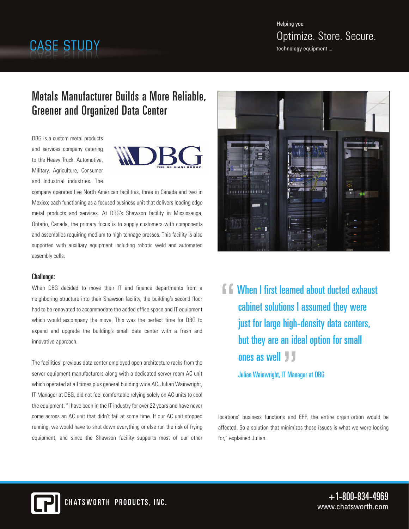# Helping you Optimize. Store. Secure.<br>technology equipment ...

## Metals Manufacturer Builds a More Reliable, Greener and Organized Data Center

DBG is a custom metal products and services company catering to the Heavy Truck, Automotive, Military, Agriculture, Consumer and Industrial industries. The



company operates five North American facilities, three in Canada and two in Mexico; each functioning as a focused business unit that delivers leading edge metal products and services. At DBG's Shawson facility in Mississauga, Ontario, Canada, the primary focus is to supply customers with components and assemblies requiring medium to high tonnage presses. This facility is also supported with auxiliary equipment including robotic weld and automated assembly cells.

### Challenge:

When DBG decided to move their IT and finance departments from a neighboring structure into their Shawson facility, the building's second floor had to be renovated to accommodate the added office space and IT equipment which would accompany the move. This was the perfect time for DBG to expand and upgrade the building's small data center with a fresh and innovative approach.

The facilities' previous data center employed open architecture racks from the server equipment manufacturers along with a dedicated server room AC unit which operated at all times plus general building wide AC. Julian Wainwright, IT Manager at DBG, did not feel comfortable relying solely on AC units to cool the equipment. "I have been in the IT industry for over 22 years and have never come across an AC unit that didn't fail at some time. If our AC unit stopped running, we would have to shut down everything or else run the risk of frying equipment, and since the Shawson facility supports most of our other



**F. F. When I first learned about ducted exhaust** cabinet solutions I assumed they were just for large high-density data centers, but they are an ideal option for small ones as well

Julian Wainwright, IT Manager at DBG

locations' business functions and ERP, the entire organization would be affected. So a solution that minimizes these issues is what we were looking for," explained Julian.



 $+1-800-834-4969$ www.chatsworth.com